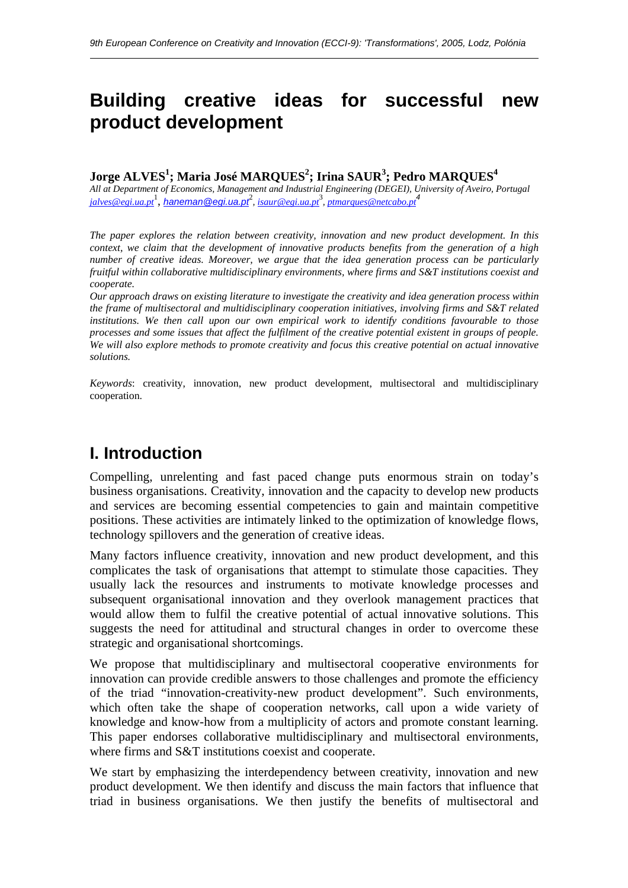# **Building creative ideas for successful new product development**

### $\bf{Jorge\; ALVES^1; Maria\;Jos\'e\; MARQUES^2; Irina\; SAUR^3; Pedro\; MARQUES^4}$

*All at Department of Economics, Management and Industrial Engineering (DEGEI), University of Aveiro, Portugal jalves@egi.ua.pt*<sup>1</sup> , *haneman@egi.ua.pt*<sup>2</sup> *, isaur@egi.ua.pt*<sup>3</sup> *, ptmarques@netcabo.pt<sup>4</sup>*

*The paper explores the relation between creativity, innovation and new product development. In this context, we claim that the development of innovative products benefits from the generation of a high number of creative ideas. Moreover, we argue that the idea generation process can be particularly fruitful within collaborative multidisciplinary environments, where firms and S&T institutions coexist and cooperate.* 

*Our approach draws on existing literature to investigate the creativity and idea generation process within the frame of multisectoral and multidisciplinary cooperation initiatives, involving firms and S&T related institutions. We then call upon our own empirical work to identify conditions favourable to those processes and some issues that affect the fulfilment of the creative potential existent in groups of people. We will also explore methods to promote creativity and focus this creative potential on actual innovative solutions.* 

*Keywords*: creativity, innovation, new product development, multisectoral and multidisciplinary cooperation.

## **I. Introduction**

 $\overline{a}$ 

Compelling, unrelenting and fast paced change puts enormous strain on today's business organisations. Creativity, innovation and the capacity to develop new products and services are becoming essential competencies to gain and maintain competitive positions. These activities are intimately linked to the optimization of knowledge flows, technology spillovers and the generation of creative ideas.

Many factors influence creativity, innovation and new product development, and this complicates the task of organisations that attempt to stimulate those capacities. They usually lack the resources and instruments to motivate knowledge processes and subsequent organisational innovation and they overlook management practices that would allow them to fulfil the creative potential of actual innovative solutions. This suggests the need for attitudinal and structural changes in order to overcome these strategic and organisational shortcomings.

We propose that multidisciplinary and multisectoral cooperative environments for innovation can provide credible answers to those challenges and promote the efficiency of the triad "innovation-creativity-new product development". Such environments, which often take the shape of cooperation networks, call upon a wide variety of knowledge and know-how from a multiplicity of actors and promote constant learning. This paper endorses collaborative multidisciplinary and multisectoral environments, where firms and S&T institutions coexist and cooperate.

We start by emphasizing the interdependency between creativity, innovation and new product development. We then identify and discuss the main factors that influence that triad in business organisations. We then justify the benefits of multisectoral and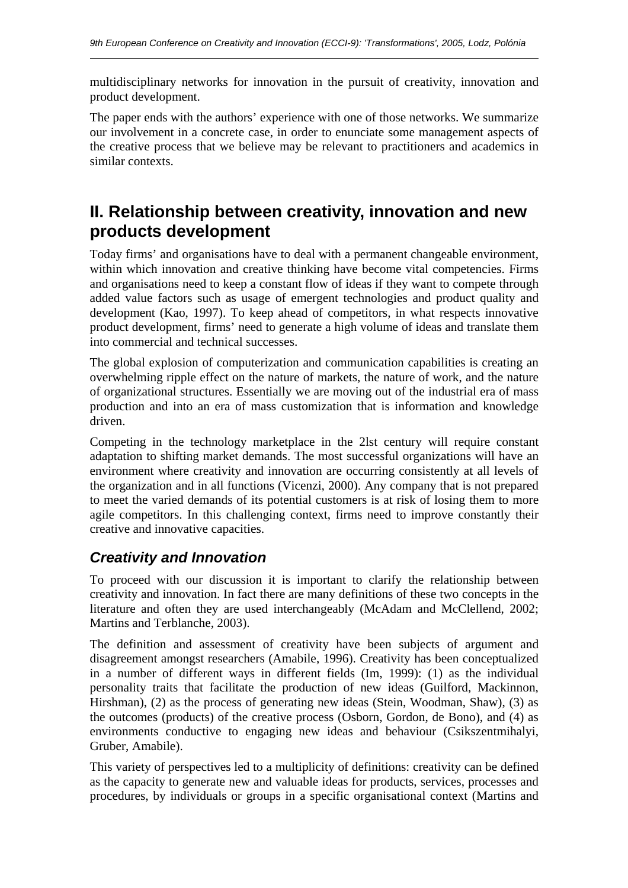multidisciplinary networks for innovation in the pursuit of creativity, innovation and product development.

The paper ends with the authors' experience with one of those networks. We summarize our involvement in a concrete case, in order to enunciate some management aspects of the creative process that we believe may be relevant to practitioners and academics in similar contexts.

## **II. Relationship between creativity, innovation and new products development**

Today firms' and organisations have to deal with a permanent changeable environment, within which innovation and creative thinking have become vital competencies. Firms and organisations need to keep a constant flow of ideas if they want to compete through added value factors such as usage of emergent technologies and product quality and development (Kao, 1997). To keep ahead of competitors, in what respects innovative product development, firms' need to generate a high volume of ideas and translate them into commercial and technical successes.

The global explosion of computerization and communication capabilities is creating an overwhelming ripple effect on the nature of markets, the nature of work, and the nature of organizational structures. Essentially we are moving out of the industrial era of mass production and into an era of mass customization that is information and knowledge driven.

Competing in the technology marketplace in the 2lst century will require constant adaptation to shifting market demands. The most successful organizations will have an environment where creativity and innovation are occurring consistently at all levels of the organization and in all functions (Vicenzi, 2000). Any company that is not prepared to meet the varied demands of its potential customers is at risk of losing them to more agile competitors. In this challenging context, firms need to improve constantly their creative and innovative capacities.

## *Creativity and Innovation*

 $\overline{a}$ 

To proceed with our discussion it is important to clarify the relationship between creativity and innovation. In fact there are many definitions of these two concepts in the literature and often they are used interchangeably (McAdam and McClellend, 2002; Martins and Terblanche, 2003).

The definition and assessment of creativity have been subjects of argument and disagreement amongst researchers (Amabile, 1996). Creativity has been conceptualized in a number of different ways in different fields (Im, 1999): (1) as the individual personality traits that facilitate the production of new ideas (Guilford, Mackinnon, Hirshman), (2) as the process of generating new ideas (Stein, Woodman, Shaw), (3) as the outcomes (products) of the creative process (Osborn, Gordon, de Bono), and (4) as environments conductive to engaging new ideas and behaviour (Csikszentmihalyi, Gruber, Amabile).

This variety of perspectives led to a multiplicity of definitions: creativity can be defined as the capacity to generate new and valuable ideas for products, services, processes and procedures, by individuals or groups in a specific organisational context (Martins and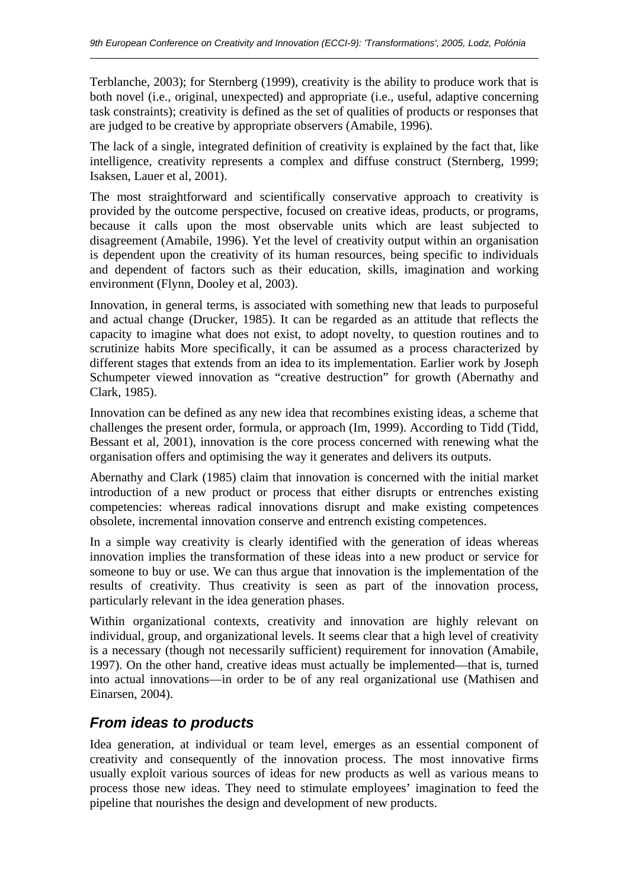Terblanche, 2003); for Sternberg (1999), creativity is the ability to produce work that is both novel (i.e., original, unexpected) and appropriate (i.e., useful, adaptive concerning task constraints); creativity is defined as the set of qualities of products or responses that are judged to be creative by appropriate observers (Amabile, 1996).

The lack of a single, integrated definition of creativity is explained by the fact that, like intelligence, creativity represents a complex and diffuse construct (Sternberg, 1999; Isaksen, Lauer et al, 2001).

The most straightforward and scientifically conservative approach to creativity is provided by the outcome perspective, focused on creative ideas, products, or programs, because it calls upon the most observable units which are least subjected to disagreement (Amabile, 1996). Yet the level of creativity output within an organisation is dependent upon the creativity of its human resources, being specific to individuals and dependent of factors such as their education, skills, imagination and working environment (Flynn, Dooley et al, 2003).

Innovation, in general terms, is associated with something new that leads to purposeful and actual change (Drucker, 1985). It can be regarded as an attitude that reflects the capacity to imagine what does not exist, to adopt novelty, to question routines and to scrutinize habits More specifically, it can be assumed as a process characterized by different stages that extends from an idea to its implementation. Earlier work by Joseph Schumpeter viewed innovation as "creative destruction" for growth (Abernathy and Clark, 1985).

Innovation can be defined as any new idea that recombines existing ideas, a scheme that challenges the present order, formula, or approach (Im, 1999). According to Tidd (Tidd, Bessant et al, 2001), innovation is the core process concerned with renewing what the organisation offers and optimising the way it generates and delivers its outputs.

Abernathy and Clark (1985) claim that innovation is concerned with the initial market introduction of a new product or process that either disrupts or entrenches existing competencies: whereas radical innovations disrupt and make existing competences obsolete, incremental innovation conserve and entrench existing competences.

In a simple way creativity is clearly identified with the generation of ideas whereas innovation implies the transformation of these ideas into a new product or service for someone to buy or use. We can thus argue that innovation is the implementation of the results of creativity. Thus creativity is seen as part of the innovation process, particularly relevant in the idea generation phases.

Within organizational contexts, creativity and innovation are highly relevant on individual, group, and organizational levels. It seems clear that a high level of creativity is a necessary (though not necessarily sufficient) requirement for innovation (Amabile, 1997). On the other hand, creative ideas must actually be implemented—that is, turned into actual innovations—in order to be of any real organizational use (Mathisen and Einarsen, 2004).

## *From ideas to products*

 $\overline{a}$ 

Idea generation, at individual or team level, emerges as an essential component of creativity and consequently of the innovation process. The most innovative firms usually exploit various sources of ideas for new products as well as various means to process those new ideas. They need to stimulate employees' imagination to feed the pipeline that nourishes the design and development of new products.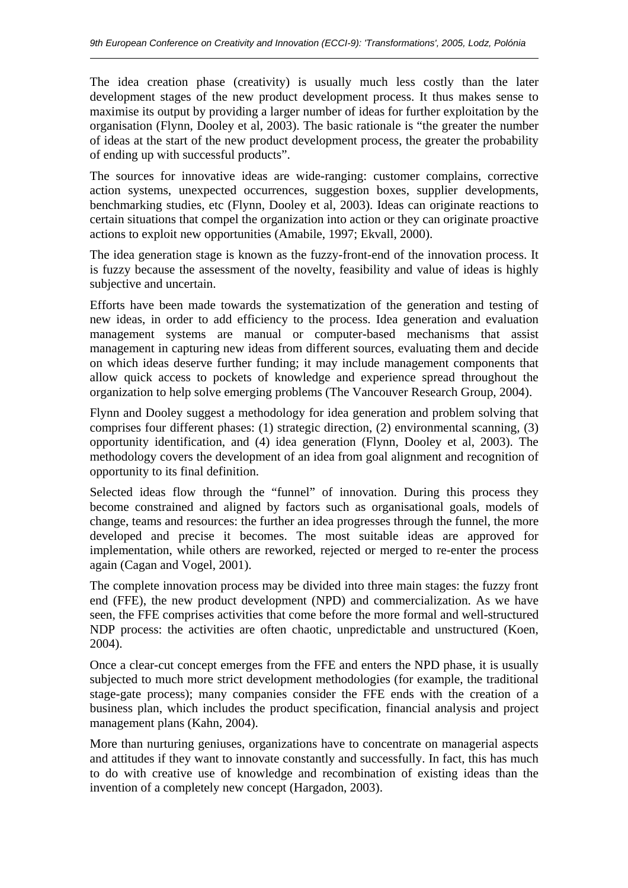The idea creation phase (creativity) is usually much less costly than the later development stages of the new product development process. It thus makes sense to maximise its output by providing a larger number of ideas for further exploitation by the organisation (Flynn, Dooley et al, 2003). The basic rationale is "the greater the number of ideas at the start of the new product development process, the greater the probability of ending up with successful products".

The sources for innovative ideas are wide-ranging: customer complains, corrective action systems, unexpected occurrences, suggestion boxes, supplier developments, benchmarking studies, etc (Flynn, Dooley et al, 2003). Ideas can originate reactions to certain situations that compel the organization into action or they can originate proactive actions to exploit new opportunities (Amabile, 1997; Ekvall, 2000).

The idea generation stage is known as the fuzzy-front-end of the innovation process. It is fuzzy because the assessment of the novelty, feasibility and value of ideas is highly subjective and uncertain.

Efforts have been made towards the systematization of the generation and testing of new ideas, in order to add efficiency to the process. Idea generation and evaluation management systems are manual or computer-based mechanisms that assist management in capturing new ideas from different sources, evaluating them and decide on which ideas deserve further funding; it may include management components that allow quick access to pockets of knowledge and experience spread throughout the organization to help solve emerging problems (The Vancouver Research Group, 2004).

Flynn and Dooley suggest a methodology for idea generation and problem solving that comprises four different phases: (1) strategic direction, (2) environmental scanning, (3) opportunity identification, and (4) idea generation (Flynn, Dooley et al, 2003). The methodology covers the development of an idea from goal alignment and recognition of opportunity to its final definition.

Selected ideas flow through the "funnel" of innovation. During this process they become constrained and aligned by factors such as organisational goals, models of change, teams and resources: the further an idea progresses through the funnel, the more developed and precise it becomes. The most suitable ideas are approved for implementation, while others are reworked, rejected or merged to re-enter the process again (Cagan and Vogel, 2001).

The complete innovation process may be divided into three main stages: the fuzzy front end (FFE), the new product development (NPD) and commercialization. As we have seen, the FFE comprises activities that come before the more formal and well-structured NDP process: the activities are often chaotic, unpredictable and unstructured (Koen, 2004).

Once a clear-cut concept emerges from the FFE and enters the NPD phase, it is usually subjected to much more strict development methodologies (for example, the traditional stage-gate process); many companies consider the FFE ends with the creation of a business plan, which includes the product specification, financial analysis and project management plans (Kahn, 2004).

More than nurturing geniuses, organizations have to concentrate on managerial aspects and attitudes if they want to innovate constantly and successfully. In fact, this has much to do with creative use of knowledge and recombination of existing ideas than the invention of a completely new concept (Hargadon, 2003).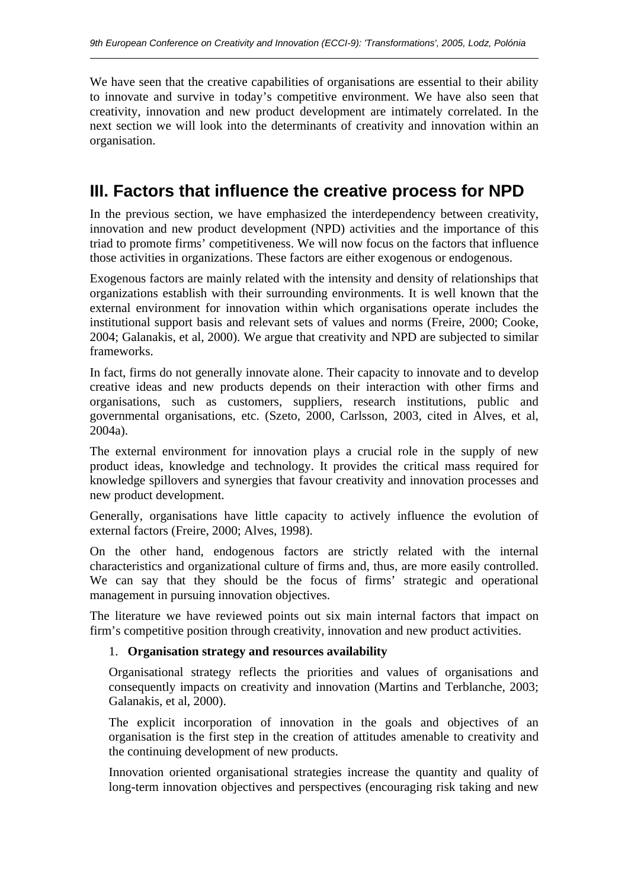We have seen that the creative capabilities of organisations are essential to their ability to innovate and survive in today's competitive environment. We have also seen that creativity, innovation and new product development are intimately correlated. In the next section we will look into the determinants of creativity and innovation within an organisation.

## **III. Factors that influence the creative process for NPD**

In the previous section, we have emphasized the interdependency between creativity, innovation and new product development (NPD) activities and the importance of this triad to promote firms' competitiveness. We will now focus on the factors that influence those activities in organizations. These factors are either exogenous or endogenous.

Exogenous factors are mainly related with the intensity and density of relationships that organizations establish with their surrounding environments. It is well known that the external environment for innovation within which organisations operate includes the institutional support basis and relevant sets of values and norms (Freire, 2000; Cooke, 2004; Galanakis, et al, 2000). We argue that creativity and NPD are subjected to similar frameworks.

In fact, firms do not generally innovate alone. Their capacity to innovate and to develop creative ideas and new products depends on their interaction with other firms and organisations, such as customers, suppliers, research institutions, public and governmental organisations, etc. (Szeto, 2000, Carlsson, 2003, cited in Alves, et al, 2004a).

The external environment for innovation plays a crucial role in the supply of new product ideas, knowledge and technology. It provides the critical mass required for knowledge spillovers and synergies that favour creativity and innovation processes and new product development.

Generally, organisations have little capacity to actively influence the evolution of external factors (Freire, 2000; Alves, 1998).

On the other hand, endogenous factors are strictly related with the internal characteristics and organizational culture of firms and, thus, are more easily controlled. We can say that they should be the focus of firms' strategic and operational management in pursuing innovation objectives.

The literature we have reviewed points out six main internal factors that impact on firm's competitive position through creativity, innovation and new product activities.

#### 1. **Organisation strategy and resources availability**

Organisational strategy reflects the priorities and values of organisations and consequently impacts on creativity and innovation (Martins and Terblanche, 2003; Galanakis, et al, 2000).

The explicit incorporation of innovation in the goals and objectives of an organisation is the first step in the creation of attitudes amenable to creativity and the continuing development of new products.

Innovation oriented organisational strategies increase the quantity and quality of long-term innovation objectives and perspectives (encouraging risk taking and new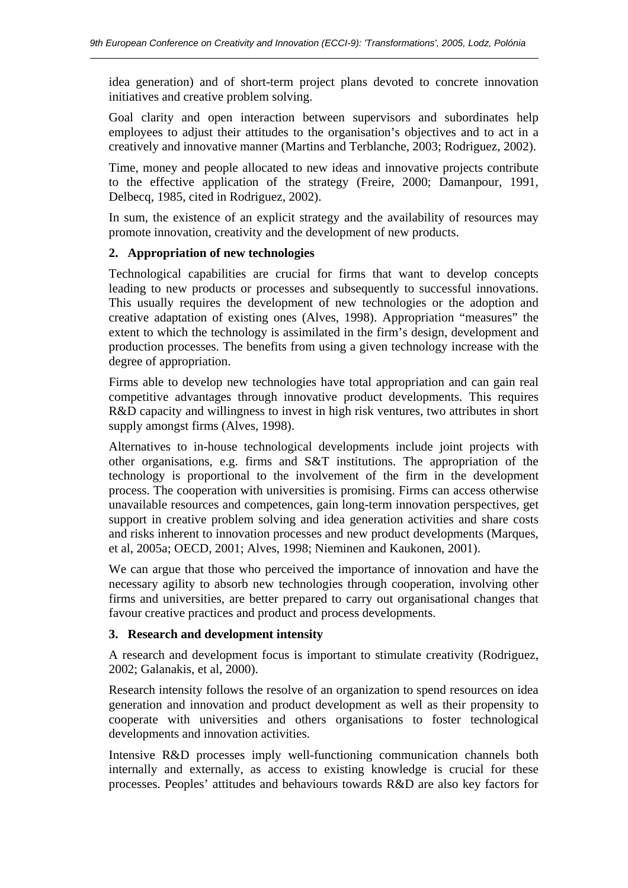idea generation) and of short-term project plans devoted to concrete innovation initiatives and creative problem solving.

Goal clarity and open interaction between supervisors and subordinates help employees to adjust their attitudes to the organisation's objectives and to act in a creatively and innovative manner (Martins and Terblanche, 2003; Rodriguez, 2002).

Time, money and people allocated to new ideas and innovative projects contribute to the effective application of the strategy (Freire, 2000; Damanpour, 1991, Delbecq, 1985, cited in Rodriguez, 2002).

In sum, the existence of an explicit strategy and the availability of resources may promote innovation, creativity and the development of new products.

#### **2. Appropriation of new technologies**

 $\overline{a}$ 

Technological capabilities are crucial for firms that want to develop concepts leading to new products or processes and subsequently to successful innovations. This usually requires the development of new technologies or the adoption and creative adaptation of existing ones (Alves, 1998). Appropriation "measures" the extent to which the technology is assimilated in the firm's design, development and production processes. The benefits from using a given technology increase with the degree of appropriation.

Firms able to develop new technologies have total appropriation and can gain real competitive advantages through innovative product developments. This requires R&D capacity and willingness to invest in high risk ventures, two attributes in short supply amongst firms (Alves, 1998).

Alternatives to in-house technological developments include joint projects with other organisations, e.g. firms and S&T institutions. The appropriation of the technology is proportional to the involvement of the firm in the development process. The cooperation with universities is promising. Firms can access otherwise unavailable resources and competences, gain long-term innovation perspectives, get support in creative problem solving and idea generation activities and share costs and risks inherent to innovation processes and new product developments (Marques, et al, 2005a; OECD, 2001; Alves, 1998; Nieminen and Kaukonen, 2001).

We can argue that those who perceived the importance of innovation and have the necessary agility to absorb new technologies through cooperation, involving other firms and universities, are better prepared to carry out organisational changes that favour creative practices and product and process developments.

#### **3. Research and development intensity**

A research and development focus is important to stimulate creativity (Rodriguez, 2002; Galanakis, et al, 2000).

Research intensity follows the resolve of an organization to spend resources on idea generation and innovation and product development as well as their propensity to cooperate with universities and others organisations to foster technological developments and innovation activities.

Intensive R&D processes imply well-functioning communication channels both internally and externally, as access to existing knowledge is crucial for these processes. Peoples' attitudes and behaviours towards R&D are also key factors for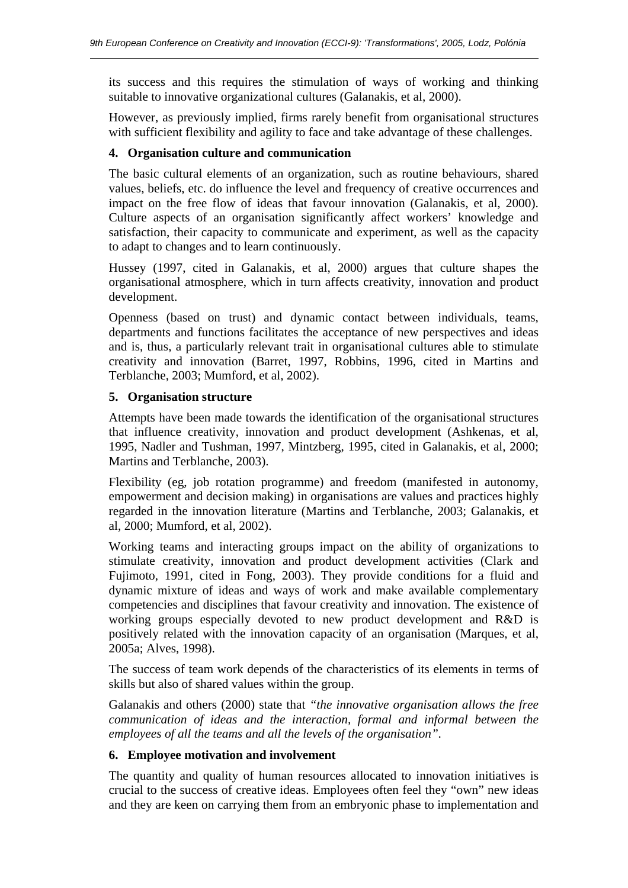its success and this requires the stimulation of ways of working and thinking suitable to innovative organizational cultures (Galanakis, et al, 2000).

However, as previously implied, firms rarely benefit from organisational structures with sufficient flexibility and agility to face and take advantage of these challenges.

#### **4. Organisation culture and communication**

The basic cultural elements of an organization, such as routine behaviours, shared values, beliefs, etc. do influence the level and frequency of creative occurrences and impact on the free flow of ideas that favour innovation (Galanakis, et al, 2000). Culture aspects of an organisation significantly affect workers' knowledge and satisfaction, their capacity to communicate and experiment, as well as the capacity to adapt to changes and to learn continuously.

Hussey (1997, cited in Galanakis, et al, 2000) argues that culture shapes the organisational atmosphere, which in turn affects creativity, innovation and product development.

Openness (based on trust) and dynamic contact between individuals, teams, departments and functions facilitates the acceptance of new perspectives and ideas and is, thus, a particularly relevant trait in organisational cultures able to stimulate creativity and innovation (Barret, 1997, Robbins, 1996, cited in Martins and Terblanche, 2003; Mumford, et al, 2002).

#### **5. Organisation structure**

 $\overline{a}$ 

Attempts have been made towards the identification of the organisational structures that influence creativity, innovation and product development (Ashkenas, et al, 1995, Nadler and Tushman, 1997, Mintzberg, 1995, cited in Galanakis, et al, 2000; Martins and Terblanche, 2003).

Flexibility (eg, job rotation programme) and freedom (manifested in autonomy, empowerment and decision making) in organisations are values and practices highly regarded in the innovation literature (Martins and Terblanche, 2003; Galanakis, et al, 2000; Mumford, et al, 2002).

Working teams and interacting groups impact on the ability of organizations to stimulate creativity, innovation and product development activities (Clark and Fujimoto, 1991, cited in Fong, 2003). They provide conditions for a fluid and dynamic mixture of ideas and ways of work and make available complementary competencies and disciplines that favour creativity and innovation. The existence of working groups especially devoted to new product development and R&D is positively related with the innovation capacity of an organisation (Marques, et al, 2005a; Alves, 1998).

The success of team work depends of the characteristics of its elements in terms of skills but also of shared values within the group.

Galanakis and others (2000) state that *"the innovative organisation allows the free communication of ideas and the interaction, formal and informal between the employees of all the teams and all the levels of the organisation".*

#### **6. Employee motivation and involvement**

The quantity and quality of human resources allocated to innovation initiatives is crucial to the success of creative ideas. Employees often feel they "own" new ideas and they are keen on carrying them from an embryonic phase to implementation and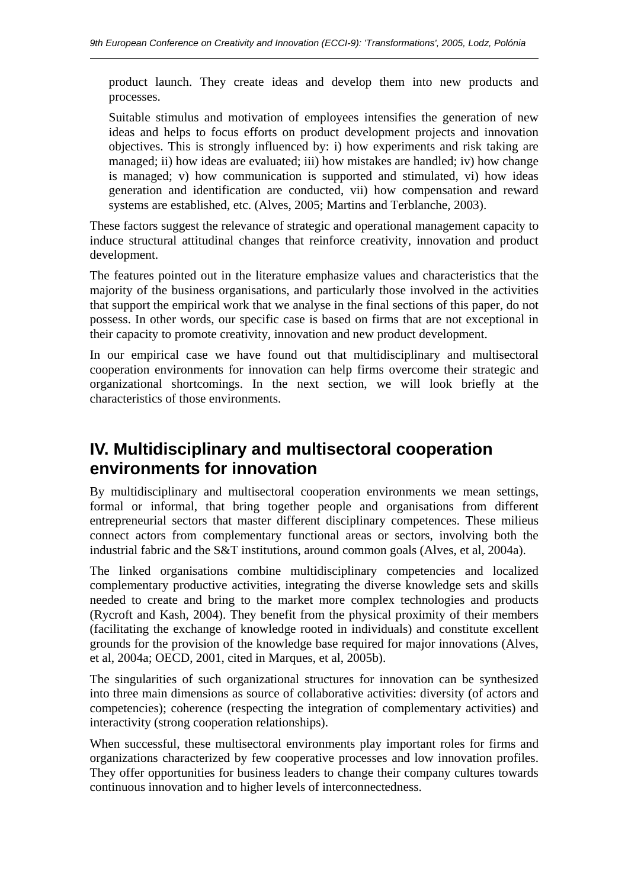product launch. They create ideas and develop them into new products and processes.

Suitable stimulus and motivation of employees intensifies the generation of new ideas and helps to focus efforts on product development projects and innovation objectives. This is strongly influenced by: i) how experiments and risk taking are managed; ii) how ideas are evaluated; iii) how mistakes are handled; iv) how change is managed; v) how communication is supported and stimulated, vi) how ideas generation and identification are conducted, vii) how compensation and reward systems are established, etc. (Alves, 2005; Martins and Terblanche, 2003).

These factors suggest the relevance of strategic and operational management capacity to induce structural attitudinal changes that reinforce creativity, innovation and product development.

The features pointed out in the literature emphasize values and characteristics that the majority of the business organisations, and particularly those involved in the activities that support the empirical work that we analyse in the final sections of this paper, do not possess. In other words, our specific case is based on firms that are not exceptional in their capacity to promote creativity, innovation and new product development.

In our empirical case we have found out that multidisciplinary and multisectoral cooperation environments for innovation can help firms overcome their strategic and organizational shortcomings. In the next section, we will look briefly at the characteristics of those environments.

## **IV. Multidisciplinary and multisectoral cooperation environments for innovation**

By multidisciplinary and multisectoral cooperation environments we mean settings, formal or informal, that bring together people and organisations from different entrepreneurial sectors that master different disciplinary competences. These milieus connect actors from complementary functional areas or sectors, involving both the industrial fabric and the S&T institutions, around common goals (Alves, et al, 2004a).

The linked organisations combine multidisciplinary competencies and localized complementary productive activities, integrating the diverse knowledge sets and skills needed to create and bring to the market more complex technologies and products (Rycroft and Kash, 2004). They benefit from the physical proximity of their members (facilitating the exchange of knowledge rooted in individuals) and constitute excellent grounds for the provision of the knowledge base required for major innovations (Alves, et al, 2004a; OECD, 2001, cited in Marques, et al, 2005b).

The singularities of such organizational structures for innovation can be synthesized into three main dimensions as source of collaborative activities: diversity (of actors and competencies); coherence (respecting the integration of complementary activities) and interactivity (strong cooperation relationships).

When successful, these multisectoral environments play important roles for firms and organizations characterized by few cooperative processes and low innovation profiles. They offer opportunities for business leaders to change their company cultures towards continuous innovation and to higher levels of interconnectedness.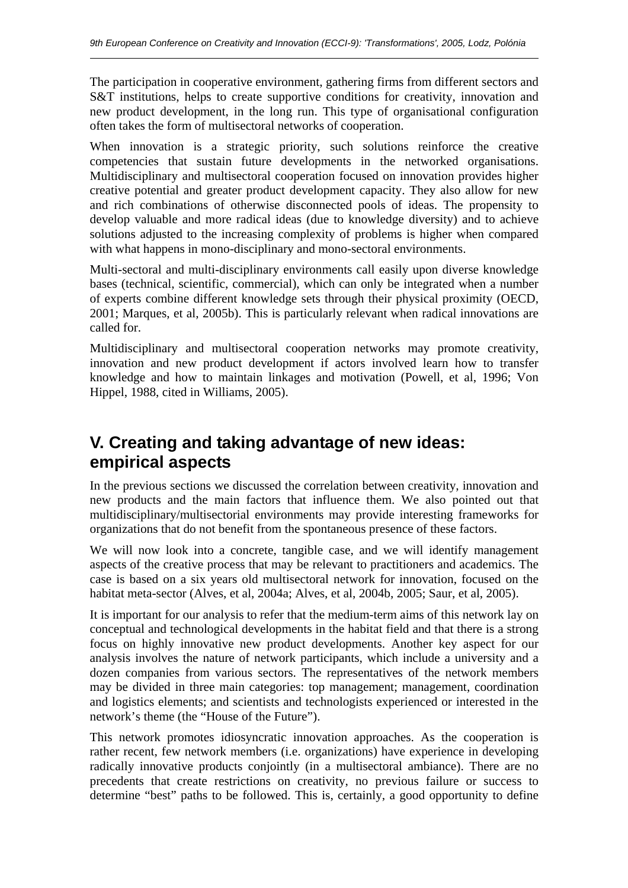The participation in cooperative environment, gathering firms from different sectors and S&T institutions, helps to create supportive conditions for creativity, innovation and new product development, in the long run. This type of organisational configuration often takes the form of multisectoral networks of cooperation.

When innovation is a strategic priority, such solutions reinforce the creative competencies that sustain future developments in the networked organisations. Multidisciplinary and multisectoral cooperation focused on innovation provides higher creative potential and greater product development capacity. They also allow for new and rich combinations of otherwise disconnected pools of ideas. The propensity to develop valuable and more radical ideas (due to knowledge diversity) and to achieve solutions adjusted to the increasing complexity of problems is higher when compared with what happens in mono-disciplinary and mono-sectoral environments.

Multi-sectoral and multi-disciplinary environments call easily upon diverse knowledge bases (technical, scientific, commercial), which can only be integrated when a number of experts combine different knowledge sets through their physical proximity (OECD, 2001; Marques, et al, 2005b). This is particularly relevant when radical innovations are called for.

Multidisciplinary and multisectoral cooperation networks may promote creativity, innovation and new product development if actors involved learn how to transfer knowledge and how to maintain linkages and motivation (Powell, et al, 1996; Von Hippel, 1988, cited in Williams, 2005).

## **V. Creating and taking advantage of new ideas: empirical aspects**

In the previous sections we discussed the correlation between creativity, innovation and new products and the main factors that influence them. We also pointed out that multidisciplinary/multisectorial environments may provide interesting frameworks for organizations that do not benefit from the spontaneous presence of these factors.

We will now look into a concrete, tangible case, and we will identify management aspects of the creative process that may be relevant to practitioners and academics. The case is based on a six years old multisectoral network for innovation, focused on the habitat meta-sector (Alves, et al, 2004a; Alves, et al, 2004b, 2005; Saur, et al, 2005).

It is important for our analysis to refer that the medium-term aims of this network lay on conceptual and technological developments in the habitat field and that there is a strong focus on highly innovative new product developments. Another key aspect for our analysis involves the nature of network participants, which include a university and a dozen companies from various sectors. The representatives of the network members may be divided in three main categories: top management; management, coordination and logistics elements; and scientists and technologists experienced or interested in the network's theme (the "House of the Future").

This network promotes idiosyncratic innovation approaches. As the cooperation is rather recent, few network members (i.e. organizations) have experience in developing radically innovative products conjointly (in a multisectoral ambiance). There are no precedents that create restrictions on creativity, no previous failure or success to determine "best" paths to be followed. This is, certainly, a good opportunity to define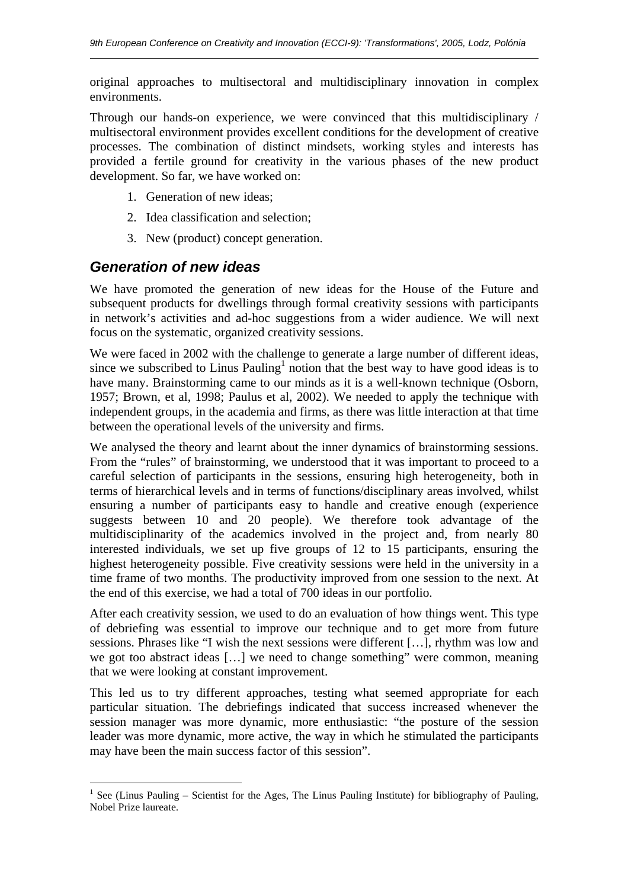original approaches to multisectoral and multidisciplinary innovation in complex environments.

Through our hands-on experience, we were convinced that this multidisciplinary / multisectoral environment provides excellent conditions for the development of creative processes. The combination of distinct mindsets, working styles and interests has provided a fertile ground for creativity in the various phases of the new product development. So far, we have worked on:

- 1. Generation of new ideas;
- 2. Idea classification and selection;
- 3. New (product) concept generation.

### *Generation of new ideas*

 $\overline{a}$ 

 $\overline{a}$ 

We have promoted the generation of new ideas for the House of the Future and subsequent products for dwellings through formal creativity sessions with participants in network's activities and ad-hoc suggestions from a wider audience. We will next focus on the systematic, organized creativity sessions.

We were faced in 2002 with the challenge to generate a large number of different ideas, since we subscribed to Linus Pauling<sup>1</sup> notion that the best way to have good ideas is to have many. Brainstorming came to our minds as it is a well-known technique (Osborn, 1957; Brown, et al, 1998; Paulus et al, 2002). We needed to apply the technique with independent groups, in the academia and firms, as there was little interaction at that time between the operational levels of the university and firms.

We analysed the theory and learnt about the inner dynamics of brainstorming sessions. From the "rules" of brainstorming, we understood that it was important to proceed to a careful selection of participants in the sessions, ensuring high heterogeneity, both in terms of hierarchical levels and in terms of functions/disciplinary areas involved, whilst ensuring a number of participants easy to handle and creative enough (experience suggests between 10 and 20 people). We therefore took advantage of the multidisciplinarity of the academics involved in the project and, from nearly 80 interested individuals, we set up five groups of 12 to 15 participants, ensuring the highest heterogeneity possible. Five creativity sessions were held in the university in a time frame of two months. The productivity improved from one session to the next. At the end of this exercise, we had a total of 700 ideas in our portfolio.

After each creativity session, we used to do an evaluation of how things went. This type of debriefing was essential to improve our technique and to get more from future sessions. Phrases like "I wish the next sessions were different […], rhythm was low and we got too abstract ideas […] we need to change something" were common, meaning that we were looking at constant improvement.

This led us to try different approaches, testing what seemed appropriate for each particular situation. The debriefings indicated that success increased whenever the session manager was more dynamic, more enthusiastic: "the posture of the session leader was more dynamic, more active, the way in which he stimulated the participants may have been the main success factor of this session".

<sup>&</sup>lt;sup>1</sup> See (Linus Pauling – Scientist for the Ages, The Linus Pauling Institute) for bibliography of Pauling, Nobel Prize laureate.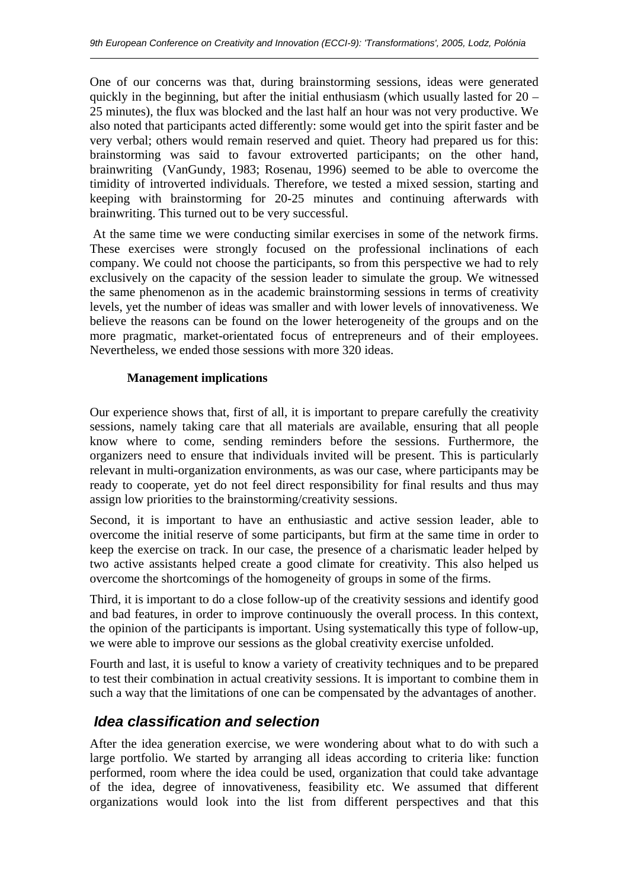One of our concerns was that, during brainstorming sessions, ideas were generated quickly in the beginning, but after the initial enthusiasm (which usually lasted for  $20 -$ 25 minutes), the flux was blocked and the last half an hour was not very productive. We also noted that participants acted differently: some would get into the spirit faster and be very verbal; others would remain reserved and quiet. Theory had prepared us for this: brainstorming was said to favour extroverted participants; on the other hand, brainwriting (VanGundy, 1983; Rosenau, 1996) seemed to be able to overcome the timidity of introverted individuals. Therefore, we tested a mixed session, starting and keeping with brainstorming for 20-25 minutes and continuing afterwards with brainwriting. This turned out to be very successful.

 At the same time we were conducting similar exercises in some of the network firms. These exercises were strongly focused on the professional inclinations of each company. We could not choose the participants, so from this perspective we had to rely exclusively on the capacity of the session leader to simulate the group. We witnessed the same phenomenon as in the academic brainstorming sessions in terms of creativity levels, yet the number of ideas was smaller and with lower levels of innovativeness. We believe the reasons can be found on the lower heterogeneity of the groups and on the more pragmatic, market-orientated focus of entrepreneurs and of their employees. Nevertheless, we ended those sessions with more 320 ideas.

#### **Management implications**

 $\overline{a}$ 

Our experience shows that, first of all, it is important to prepare carefully the creativity sessions, namely taking care that all materials are available, ensuring that all people know where to come, sending reminders before the sessions. Furthermore, the organizers need to ensure that individuals invited will be present. This is particularly relevant in multi-organization environments, as was our case, where participants may be ready to cooperate, yet do not feel direct responsibility for final results and thus may assign low priorities to the brainstorming/creativity sessions.

Second, it is important to have an enthusiastic and active session leader, able to overcome the initial reserve of some participants, but firm at the same time in order to keep the exercise on track. In our case, the presence of a charismatic leader helped by two active assistants helped create a good climate for creativity. This also helped us overcome the shortcomings of the homogeneity of groups in some of the firms.

Third, it is important to do a close follow-up of the creativity sessions and identify good and bad features, in order to improve continuously the overall process. In this context, the opinion of the participants is important. Using systematically this type of follow-up, we were able to improve our sessions as the global creativity exercise unfolded.

Fourth and last, it is useful to know a variety of creativity techniques and to be prepared to test their combination in actual creativity sessions. It is important to combine them in such a way that the limitations of one can be compensated by the advantages of another.

### *Idea classification and selection*

After the idea generation exercise, we were wondering about what to do with such a large portfolio. We started by arranging all ideas according to criteria like: function performed, room where the idea could be used, organization that could take advantage of the idea, degree of innovativeness, feasibility etc. We assumed that different organizations would look into the list from different perspectives and that this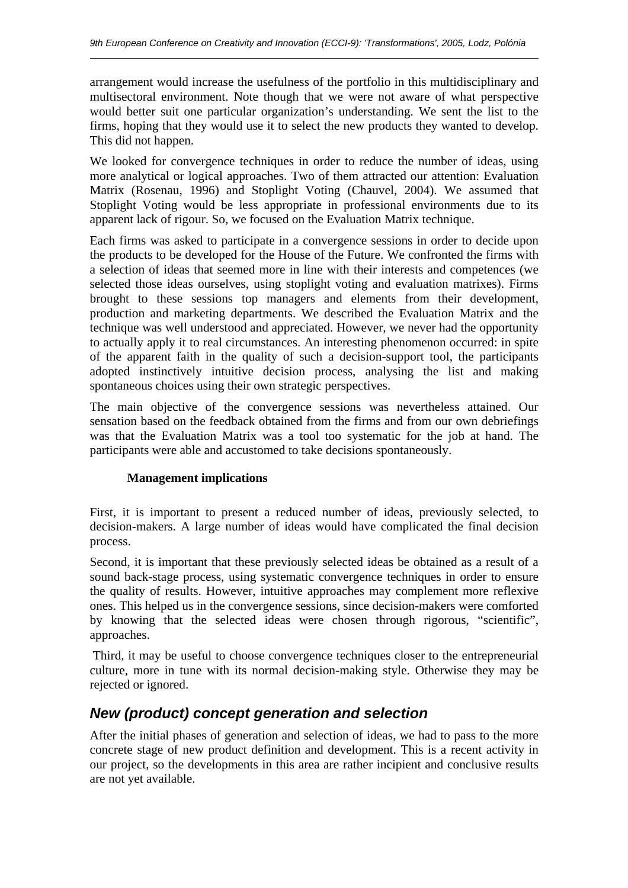arrangement would increase the usefulness of the portfolio in this multidisciplinary and multisectoral environment. Note though that we were not aware of what perspective would better suit one particular organization's understanding. We sent the list to the firms, hoping that they would use it to select the new products they wanted to develop. This did not happen.

We looked for convergence techniques in order to reduce the number of ideas, using more analytical or logical approaches. Two of them attracted our attention: Evaluation Matrix (Rosenau, 1996) and Stoplight Voting (Chauvel, 2004). We assumed that Stoplight Voting would be less appropriate in professional environments due to its apparent lack of rigour. So, we focused on the Evaluation Matrix technique.

Each firms was asked to participate in a convergence sessions in order to decide upon the products to be developed for the House of the Future. We confronted the firms with a selection of ideas that seemed more in line with their interests and competences (we selected those ideas ourselves, using stoplight voting and evaluation matrixes). Firms brought to these sessions top managers and elements from their development, production and marketing departments. We described the Evaluation Matrix and the technique was well understood and appreciated. However, we never had the opportunity to actually apply it to real circumstances. An interesting phenomenon occurred: in spite of the apparent faith in the quality of such a decision-support tool, the participants adopted instinctively intuitive decision process, analysing the list and making spontaneous choices using their own strategic perspectives.

The main objective of the convergence sessions was nevertheless attained. Our sensation based on the feedback obtained from the firms and from our own debriefings was that the Evaluation Matrix was a tool too systematic for the job at hand. The participants were able and accustomed to take decisions spontaneously.

#### **Management implications**

 $\overline{a}$ 

First, it is important to present a reduced number of ideas, previously selected, to decision-makers. A large number of ideas would have complicated the final decision process.

Second, it is important that these previously selected ideas be obtained as a result of a sound back-stage process, using systematic convergence techniques in order to ensure the quality of results. However, intuitive approaches may complement more reflexive ones. This helped us in the convergence sessions, since decision-makers were comforted by knowing that the selected ideas were chosen through rigorous, "scientific", approaches.

 Third, it may be useful to choose convergence techniques closer to the entrepreneurial culture, more in tune with its normal decision-making style. Otherwise they may be rejected or ignored.

## *New (product) concept generation and selection*

After the initial phases of generation and selection of ideas, we had to pass to the more concrete stage of new product definition and development. This is a recent activity in our project, so the developments in this area are rather incipient and conclusive results are not yet available.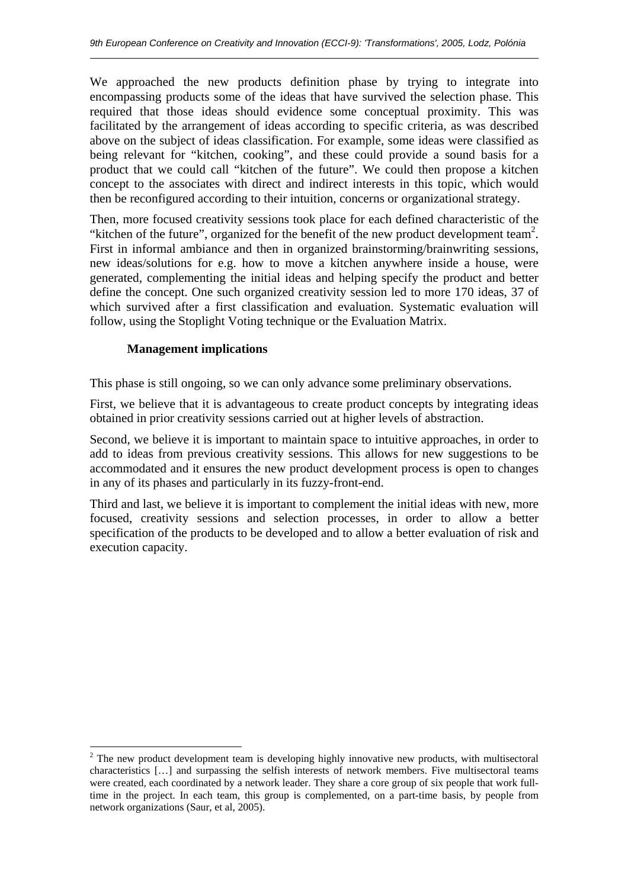We approached the new products definition phase by trying to integrate into encompassing products some of the ideas that have survived the selection phase. This required that those ideas should evidence some conceptual proximity. This was facilitated by the arrangement of ideas according to specific criteria, as was described above on the subject of ideas classification. For example, some ideas were classified as being relevant for "kitchen, cooking", and these could provide a sound basis for a product that we could call "kitchen of the future". We could then propose a kitchen concept to the associates with direct and indirect interests in this topic, which would then be reconfigured according to their intuition, concerns or organizational strategy.

Then, more focused creativity sessions took place for each defined characteristic of the "kitchen of the future", organized for the benefit of the new product development team<sup>2</sup>. First in informal ambiance and then in organized brainstorming/brainwriting sessions, new ideas/solutions for e.g. how to move a kitchen anywhere inside a house, were generated, complementing the initial ideas and helping specify the product and better define the concept. One such organized creativity session led to more 170 ideas, 37 of which survived after a first classification and evaluation. Systematic evaluation will follow, using the Stoplight Voting technique or the Evaluation Matrix.

#### **Management implications**

 $\overline{a}$ 

This phase is still ongoing, so we can only advance some preliminary observations.

First, we believe that it is advantageous to create product concepts by integrating ideas obtained in prior creativity sessions carried out at higher levels of abstraction.

Second, we believe it is important to maintain space to intuitive approaches, in order to add to ideas from previous creativity sessions. This allows for new suggestions to be accommodated and it ensures the new product development process is open to changes in any of its phases and particularly in its fuzzy-front-end.

Third and last, we believe it is important to complement the initial ideas with new, more focused, creativity sessions and selection processes, in order to allow a better specification of the products to be developed and to allow a better evaluation of risk and execution capacity.

 $\overline{a}$  $2$  The new product development team is developing highly innovative new products, with multisectoral characteristics […] and surpassing the selfish interests of network members. Five multisectoral teams were created, each coordinated by a network leader. They share a core group of six people that work fulltime in the project. In each team, this group is complemented, on a part-time basis, by people from network organizations (Saur, et al, 2005).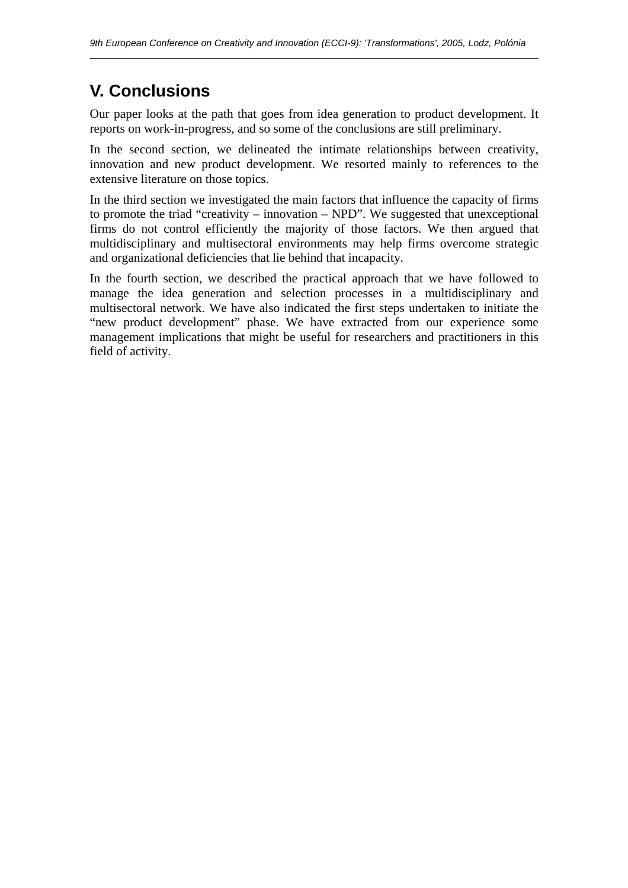# **V. Conclusions**

 $\overline{a}$ 

Our paper looks at the path that goes from idea generation to product development. It reports on work-in-progress, and so some of the conclusions are still preliminary.

In the second section, we delineated the intimate relationships between creativity, innovation and new product development. We resorted mainly to references to the extensive literature on those topics.

In the third section we investigated the main factors that influence the capacity of firms to promote the triad "creativity – innovation – NPD". We suggested that unexceptional firms do not control efficiently the majority of those factors. We then argued that multidisciplinary and multisectoral environments may help firms overcome strategic and organizational deficiencies that lie behind that incapacity.

In the fourth section, we described the practical approach that we have followed to manage the idea generation and selection processes in a multidisciplinary and multisectoral network. We have also indicated the first steps undertaken to initiate the "new product development" phase. We have extracted from our experience some management implications that might be useful for researchers and practitioners in this field of activity.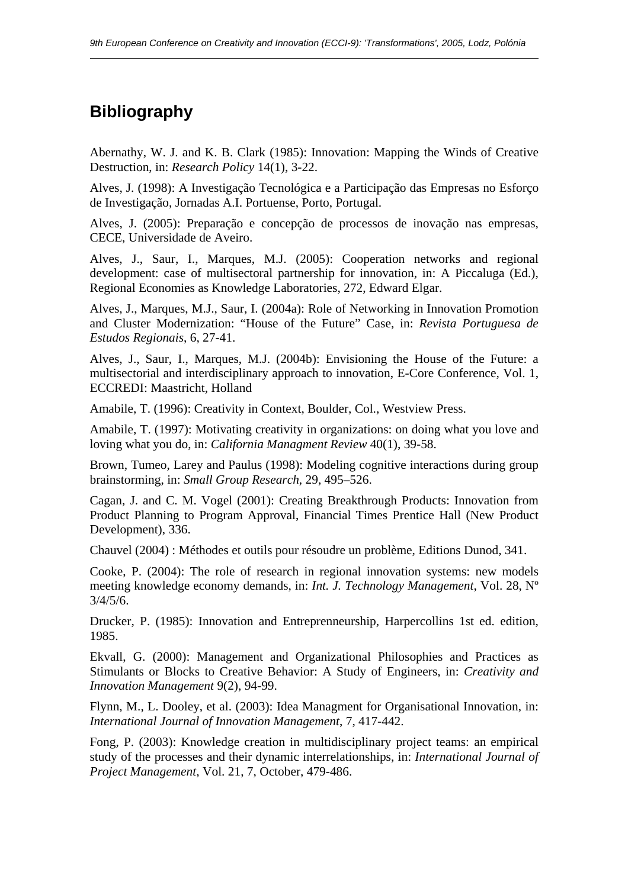# **Bibliography**

 $\overline{a}$ 

Abernathy, W. J. and K. B. Clark (1985): Innovation: Mapping the Winds of Creative Destruction, in: *Research Policy* 14(1), 3-22.

Alves, J. (1998): A Investigação Tecnológica e a Participação das Empresas no Esforço de Investigação, Jornadas A.I. Portuense, Porto, Portugal.

Alves, J. (2005): Preparação e concepção de processos de inovação nas empresas, CECE, Universidade de Aveiro.

Alves, J., Saur, I., Marques, M.J. (2005): Cooperation networks and regional development: case of multisectoral partnership for innovation, in: A Piccaluga (Ed.), Regional Economies as Knowledge Laboratories, 272, Edward Elgar.

Alves, J., Marques, M.J., Saur, I. (2004a): Role of Networking in Innovation Promotion and Cluster Modernization: "House of the Future" Case, in: *Revista Portuguesa de Estudos Regionais*, 6, 27-41.

Alves, J., Saur, I., Marques, M.J. (2004b): Envisioning the House of the Future: a multisectorial and interdisciplinary approach to innovation, E-Core Conference, Vol. 1, ECCREDI: Maastricht, Holland

Amabile, T. (1996): Creativity in Context, Boulder, Col., Westview Press.

Amabile, T. (1997): Motivating creativity in organizations: on doing what you love and loving what you do, in: *California Managment Review* 40(1), 39-58.

Brown, Tumeo, Larey and Paulus (1998): Modeling cognitive interactions during group brainstorming, in: *Small Group Research*, 29, 495–526.

Cagan, J. and C. M. Vogel (2001): Creating Breakthrough Products: Innovation from Product Planning to Program Approval, Financial Times Prentice Hall (New Product Development), 336.

Chauvel (2004) : Méthodes et outils pour résoudre un problème, Editions Dunod, 341.

Cooke, P. (2004): The role of research in regional innovation systems: new models meeting knowledge economy demands, in: *Int. J. Technology Management*, Vol. 28, Nº 3/4/5/6.

Drucker, P. (1985): Innovation and Entreprenneurship, Harpercollins 1st ed. edition, 1985.

Ekvall, G. (2000): Management and Organizational Philosophies and Practices as Stimulants or Blocks to Creative Behavior: A Study of Engineers, in: *Creativity and Innovation Management* 9(2), 94-99.

Flynn, M., L. Dooley, et al. (2003): Idea Managment for Organisational Innovation, in: *International Journal of Innovation Management*, 7, 417-442.

Fong, P. (2003): Knowledge creation in multidisciplinary project teams: an empirical study of the processes and their dynamic interrelationships, in: *International Journal of Project Management*, Vol. 21, 7, October, 479-486.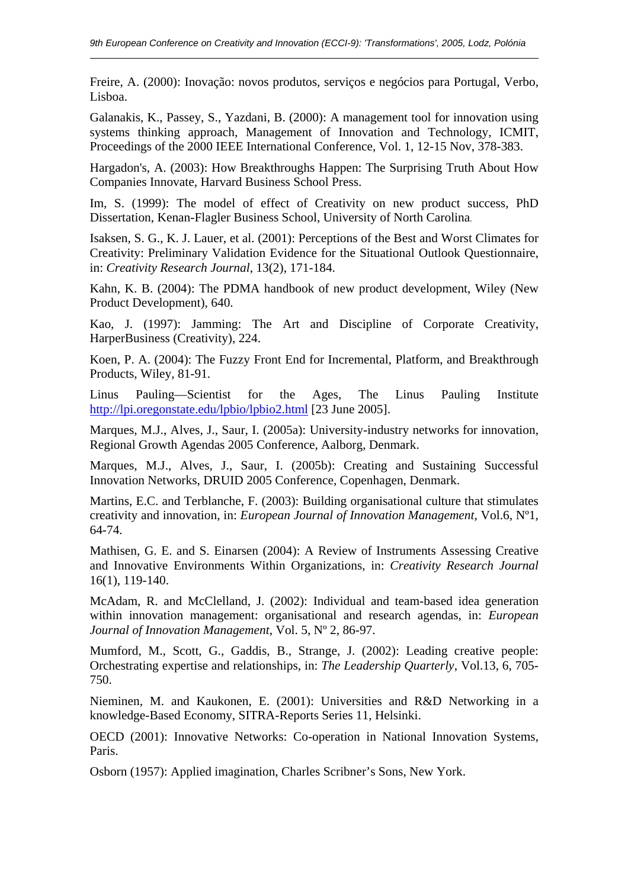Freire, A. (2000): Inovação: novos produtos, serviços e negócios para Portugal, Verbo, Lisboa.

Galanakis, K., Passey, S., Yazdani, B. (2000): A management tool for innovation using systems thinking approach, Management of Innovation and Technology, ICMIT, Proceedings of the 2000 IEEE International Conference, Vol. 1, 12-15 Nov, 378-383.

Hargadon's, A. (2003): How Breakthroughs Happen: The Surprising Truth About How Companies Innovate, Harvard Business School Press.

Im, S. (1999): The model of effect of Creativity on new product success, PhD Dissertation, Kenan-Flagler Business School, University of North Carolina.

Isaksen, S. G., K. J. Lauer, et al. (2001): Perceptions of the Best and Worst Climates for Creativity: Preliminary Validation Evidence for the Situational Outlook Questionnaire, in: *Creativity Research Journal*, 13(2), 171-184.

Kahn, K. B. (2004): The PDMA handbook of new product development, Wiley (New Product Development), 640.

Kao, J. (1997): Jamming: The Art and Discipline of Corporate Creativity, HarperBusiness (Creativity), 224.

Koen, P. A. (2004): The Fuzzy Front End for Incremental, Platform, and Breakthrough Products, Wiley, 81-91.

Linus Pauling—Scientist for the Ages, The Linus Pauling Institute http://lpi.oregonstate.edu/lpbio/lpbio2.html [23 June 2005].

Marques, M.J., Alves, J., Saur, I. (2005a): University-industry networks for innovation, Regional Growth Agendas 2005 Conference, Aalborg, Denmark.

Marques, M.J., Alves, J., Saur, I. (2005b): Creating and Sustaining Successful Innovation Networks, DRUID 2005 Conference, Copenhagen, Denmark.

Martins, E.C. and Terblanche, F. (2003): Building organisational culture that stimulates creativity and innovation, in: *European Journal of Innovation Management*, Vol.6, Nº1, 64-74.

Mathisen, G. E. and S. Einarsen (2004): A Review of Instruments Assessing Creative and Innovative Environments Within Organizations, in: *Creativity Research Journal* 16(1), 119-140.

McAdam, R. and McClelland, J. (2002): Individual and team-based idea generation within innovation management: organisational and research agendas, in: *European Journal of Innovation Management*, Vol. 5, Nº 2, 86-97.

Mumford, M., Scott, G., Gaddis, B., Strange, J. (2002): Leading creative people: Orchestrating expertise and relationships, in: *The Leadership Quarterly*, Vol.13, 6, 705- 750.

Nieminen, M. and Kaukonen, E. (2001): Universities and R&D Networking in a knowledge-Based Economy, SITRA-Reports Series 11, Helsinki.

OECD (2001): Innovative Networks: Co-operation in National Innovation Systems, Paris.

Osborn (1957): Applied imagination, Charles Scribner's Sons, New York.